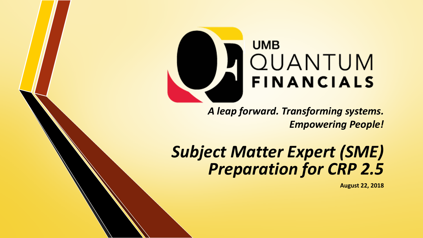

*A leap forward. Transforming systems. Empowering People!* 

# *Subject Matter Expert (SME) Preparation for CRP 2.5*

**August 22, 2018**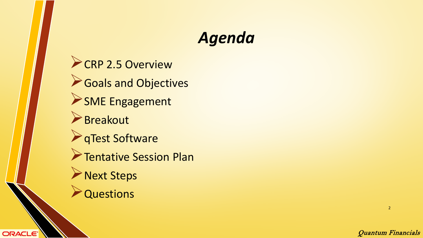# *Agenda*

CRP 2.5 Overview Goals and Objectives SME Engagement Breakout **A**qTest Software **Tentative Session Plan Next Steps Questions** 

**ORACLE** 

Quantum Financials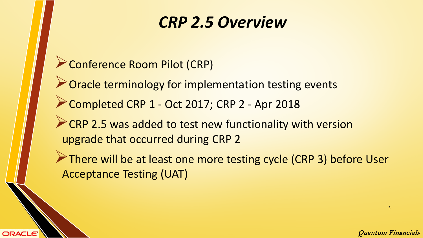▶ Conference Room Pilot (CRP) ▶ Oracle terminology for implementation testing events Completed CRP 1 - Oct 2017; CRP 2 - Apr 2018 **CRP 2.5 was added to test new functionality with version** upgrade that occurred during CRP 2 There will be at least one more testing cycle (CRP 3) before User Acceptance Testing (UAT)

**ORACLE**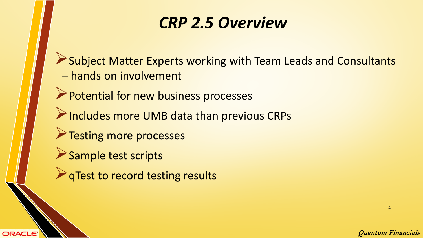Subject Matter Experts working with Team Leads and Consultants – hands on involvement

Quantum Financials

4

- **Potential for new business processes**
- Includes more UMB data than previous CRPs
- **Testing more processes**
- Sample test scripts

**ORACLE** 

**P** qTest to record testing results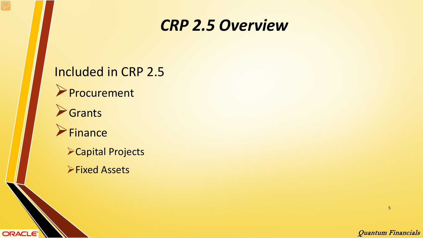#### Included in CRP 2.5

**Procurement** 

**S**Grants

**ORACLE** 

**Finance** 

Capital Projects

**Fixed Assets**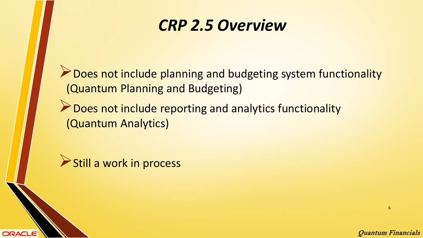Does not include planning and budgeting system functionality (Quantum Planning and Budgeting)

**Does not include reporting and analytics functionality** (Quantum Analytics)



**ORACLE**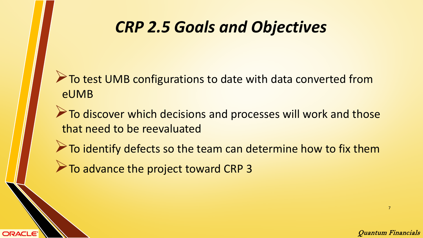## *CRP 2.5 Goals and Objectives*

To test UMB configurations to date with data converted from eUMB

To discover which decisions and processes will work and those that need to be reevaluated

 $\triangleright$  To identify defects so the team can determine how to fix them

 $\triangleright$  To advance the project toward CRP 3

ORACLE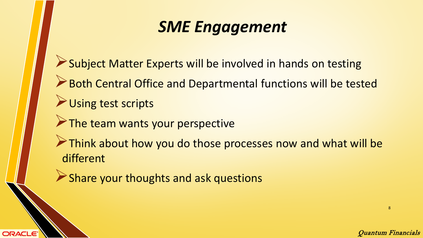# *SME Engagement*

Subject Matter Experts will be involved in hands on testing

- Both Central Office and Departmental functions will be tested
- Using test scripts

**ORACLE** 

 $\triangleright$  The team wants your perspective

Think about how you do those processes now and what will be different

Share your thoughts and ask questions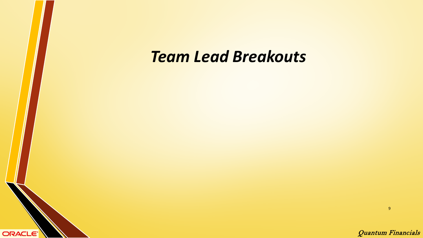#### *Team Lead Breakouts*

ORACLE<sup>®</sup>

9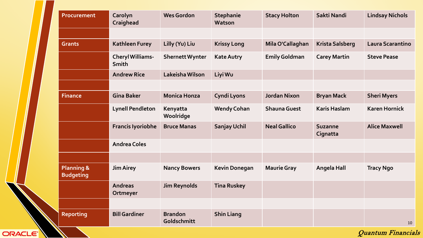| Procurement                               | Carolyn<br>Craighead                    | <b>Wes Gordon</b>             | <b>Stephanie</b><br>Watson | <b>Stacy Holton</b>  | Sakti Nandi                | <b>Lindsay Nichols</b> |
|-------------------------------------------|-----------------------------------------|-------------------------------|----------------------------|----------------------|----------------------------|------------------------|
|                                           |                                         |                               |                            |                      |                            |                        |
| <b>Grants</b>                             | <b>Kathleen Furey</b>                   | Lilly (Yu) Liu                | <b>Krissy Long</b>         | Mila O'Callaghan     | <b>Krista Salsberg</b>     | Laura Scarantino       |
|                                           | <b>Cheryl Williams-</b><br><b>Smith</b> | <b>Shernett Wynter</b>        | <b>Kate Autry</b>          | <b>Emily Goldman</b> | <b>Carey Martin</b>        | <b>Steve Pease</b>     |
|                                           | <b>Andrew Rice</b>                      | Lakeisha Wilson               | Liyi Wu                    |                      |                            |                        |
|                                           |                                         |                               |                            |                      |                            |                        |
| <b>Finance</b>                            | <b>Gina Baker</b>                       | <b>Monica Honza</b>           | Cyndi Lyons                | <b>Jordan Nixon</b>  | <b>Bryan Mack</b>          | <b>Sheri Myers</b>     |
|                                           | <b>Lynell Pendleton</b>                 | Kenyatta<br>Woolridge         | <b>Wendy Cohan</b>         | <b>Shauna Guest</b>  | <b>Karis Haslam</b>        | <b>Karen Hornick</b>   |
|                                           | <b>Francis Iyoriobhe</b>                | <b>Bruce Manas</b>            | <b>Sanjay Uchil</b>        | <b>Neal Gallico</b>  | <b>Suzanne</b><br>Cignatta | <b>Alice Maxwell</b>   |
|                                           | <b>Andrea Coles</b>                     |                               |                            |                      |                            |                        |
|                                           |                                         |                               |                            |                      |                            |                        |
| <b>Planning &amp;</b><br><b>Budgeting</b> | <b>Jim Airey</b>                        | <b>Nancy Bowers</b>           | <b>Kevin Donegan</b>       | <b>Maurie Gray</b>   | <b>Angela Hall</b>         | <b>Tracy Ngo</b>       |
|                                           | <b>Andreas</b><br>Ortmeyer              | <b>Jim Reynolds</b>           | <b>Tina Ruskey</b>         |                      |                            |                        |
|                                           |                                         |                               |                            |                      |                            |                        |
| <b>Reporting</b>                          | <b>Bill Gardiner</b>                    | <b>Brandon</b><br>Goldschmitt | <b>Shin Liang</b>          |                      |                            | 10                     |

ORACLE<sup>'</sup>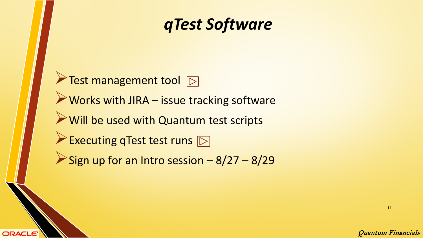## *qTest Software*



**ORACLE** 

11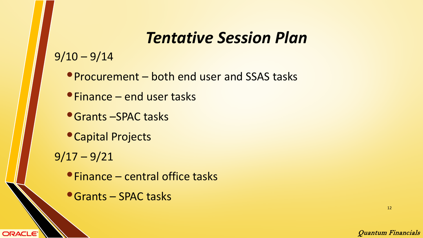## *Tentative Session Plan*

 $9/10 - 9/14$ 

- Procurement both end user and SSAS tasks
- •Finance end user tasks
- •Grants –SPAC tasks
- •Capital Projects
- $9/17 9/21$

**ORACLE** 

- •Finance central office tasks
- •Grants SPAC tasks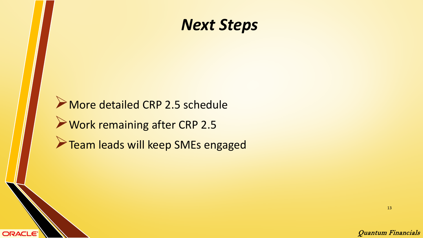#### *Next Steps*

More detailed CRP 2.5 schedule Work remaining after CRP 2.5 **Team leads will keep SMEs engaged** 

**ORACLE** 

13